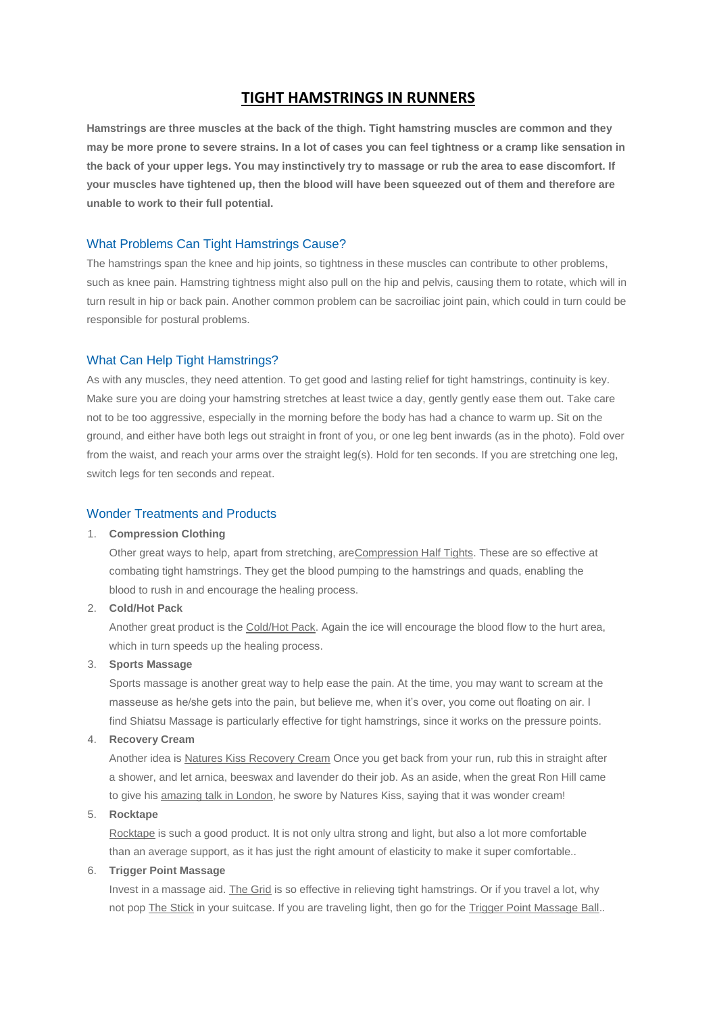## **TIGHT HAMSTRINGS IN RUNNERS**

**Hamstrings are three muscles at the back of the thigh. Tight hamstring muscles are common and they may be more prone to severe strains. In a lot of cases you can feel tightness or a cramp like sensation in the back of your upper legs. You may instinctively try to massage or rub the area to ease discomfort. If your muscles have tightened up, then the blood will have been squeezed out of them and therefore are unable to work to their full potential.**

## What Problems Can Tight Hamstrings Cause?

The hamstrings span the knee and hip joints, so tightness in these muscles can contribute to other problems, such as knee pain. Hamstring tightness might also pull on the hip and pelvis, causing them to rotate, which will in turn result in hip or back pain. Another common problem can be sacroiliac joint pain, which could in turn could be responsible for postural problems.

#### What Can Help Tight Hamstrings?

As with any muscles, they need attention. To get good and lasting relief for tight hamstrings, continuity is key. Make sure you are doing your hamstring stretches at least twice a day, gently gently ease them out. Take care not to be too aggressive, especially in the morning before the body has had a chance to warm up. Sit on the ground, and either have both legs out straight in front of you, or one leg bent inwards (as in the photo). Fold over from the waist, and reach your arms over the straight leg(s). Hold for ten seconds. If you are stretching one leg, switch legs for ten seconds and repeat.

## Wonder Treatments and Products

## 1. **Compression Clothing**

Other great ways to help, apart from stretching, ar[eCompression Half Tights.](http://www.runandbecome.com/Running-Compression-Clothing) These are so effective at combating tight hamstrings. They get the blood pumping to the hamstrings and quads, enabling the blood to rush in and encourage the healing process.

#### 2. **Cold/Hot Pack**

Another great product is the [Cold/Hot Pack.](http://www.runandbecome.com/Shop-Online/Accessories/Extras/miscellaneous/Muellar-Cold-Hot-Pack) Again the ice will encourage the blood flow to the hurt area, which in turn speeds up the healing process.

## 3. **Sports Massage**

Sports massage is another great way to help ease the pain. At the time, you may want to scream at the masseuse as he/she gets into the pain, but believe me, when it's over, you come out floating on air. I find Shiatsu Massage is particularly effective for tight hamstrings, since it works on the pressure points.

### 4. **Recovery Cream**

Another idea is [Natures Kiss Recovery Cream](http://www.runandbecome.com/Shop-Online/Accessories/Extras/Creams/NATURES-KISS-RECOVERY) Once you get back from your run, rub this in straight after a shower, and let arnica, beeswax and lavender do their job. As an aside, when the great Ron Hill came to give his [amazing talk in London,](http://run.runandbecome.com/event/run-with-ron-hill-190612/) he swore by Natures Kiss, saying that it was wonder cream!

## 5. **Rocktape**

[Rocktape](http://www.runandbecome.com/Shop-Online/Accessories/Extras/Supports/Rock-Tape) is such a good product. It is not only ultra strong and light, but also a lot more comfortable than an average support, as it has just the right amount of elasticity to make it super comfortable..

#### 6. **Trigger Point Massage**

Invest in a massage aid. [The Grid](http://www.runandbecome.com/Shop-Online/Accessories/Extras/miscellaneous/The-Grid) is so effective in relieving tight hamstrings. Or if you travel a lot, why not pop [The Stick](http://www.runandbecome.com/Shop-Online/Accessories/Extras/miscellaneous/THE-STICK) in your suitcase. If you are traveling light, then go for the [Trigger Point Massage Ball.](http://www.runandbecome.com/Shop-Online/Accessories/Extras/miscellaneous/Trigger-Point-Massage-Ball).